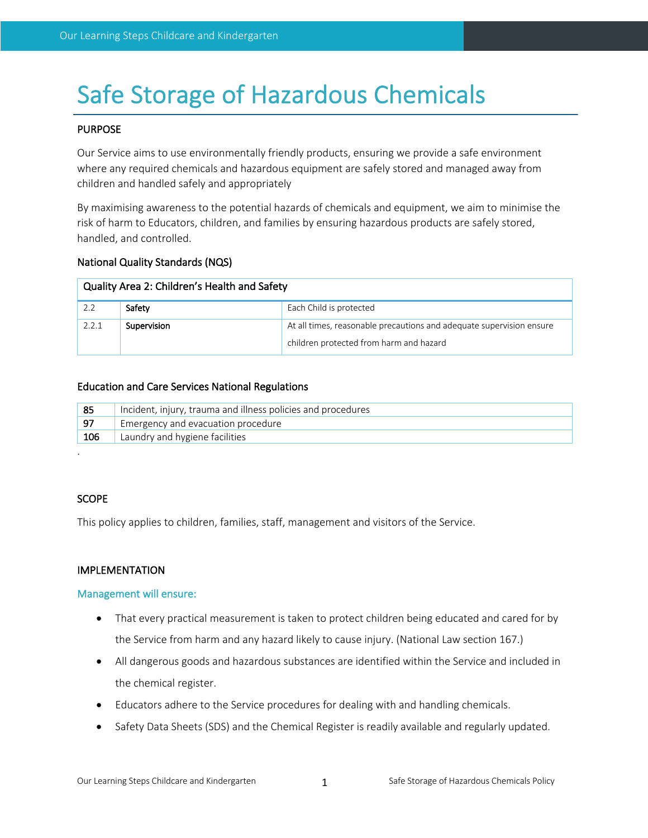# Safe Storage of Hazardous Chemicals

#### PURPOSE

Our Service aims to use environmentally friendly products, ensuring we provide a safe environment where any required chemicals and hazardous equipment are safely stored and managed away from children and handled safely and appropriately

By maximising awareness to the potential hazards of chemicals and equipment, we aim to minimise the risk of harm to Educators, children, and families by ensuring hazardous products are safely stored, handled, and controlled.

#### National Quality Standards (NQS)

| Quality Area 2: Children's Health and Safety |             |                                                                      |  |  |
|----------------------------------------------|-------------|----------------------------------------------------------------------|--|--|
| 2.2                                          | Safety      | Each Child is protected                                              |  |  |
| 2.2.1                                        | Supervision | At all times, reasonable precautions and adequate supervision ensure |  |  |
|                                              |             | children protected from harm and hazard                              |  |  |

#### Education and Care Services National Regulations

| 85   | Incident, injury, trauma and illness policies and procedures |
|------|--------------------------------------------------------------|
| l 97 | Emergency and evacuation procedure                           |
| 106  | Laundry and hygiene facilities                               |

#### **SCOPE**

.

This policy applies to children, families, staff, management and visitors of the Service.

#### IMPLEMENTATION

#### Management will ensure:

- That every practical measurement is taken to protect children being educated and cared for by the Service from harm and any hazard likely to cause injury. (National Law section 167.)
- All dangerous goods and hazardous substances are identified within the Service and included in the chemical register.
- Educators adhere to the Service procedures for dealing with and handling chemicals.
- Safety Data Sheets (SDS) and the Chemical Register is readily available and regularly updated.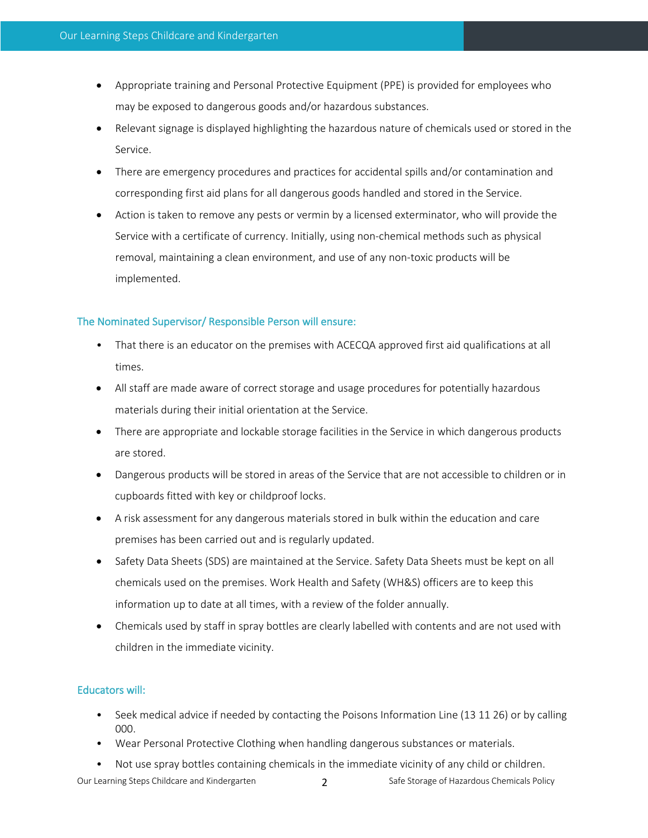- Appropriate training and Personal Protective Equipment (PPE) is provided for employees who may be exposed to dangerous goods and/or hazardous substances.
- Relevant signage is displayed highlighting the hazardous nature of chemicals used or stored in the Service.
- There are emergency procedures and practices for accidental spills and/or contamination and corresponding first aid plans for all dangerous goods handled and stored in the Service.
- Action is taken to remove any pests or vermin by a licensed exterminator, who will provide the Service with a certificate of currency. Initially, using non-chemical methods such as physical removal, maintaining a clean environment, and use of any non-toxic products will be implemented.

## The Nominated Supervisor/ Responsible Person will ensure:

- That there is an educator on the premises with ACECQA approved first aid qualifications at all times.
- All staff are made aware of correct storage and usage procedures for potentially hazardous materials during their initial orientation at the Service.
- There are appropriate and lockable storage facilities in the Service in which dangerous products are stored.
- Dangerous products will be stored in areas of the Service that are not accessible to children or in cupboards fitted with key or childproof locks.
- A risk assessment for any dangerous materials stored in bulk within the education and care premises has been carried out and is regularly updated.
- Safety Data Sheets (SDS) are maintained at the Service. Safety Data Sheets must be kept on all chemicals used on the premises. Work Health and Safety (WH&S) officers are to keep this information up to date at all times, with a review of the folder annually.
- Chemicals used by staff in spray bottles are clearly labelled with contents and are not used with children in the immediate vicinity.

# Educators will:

- Seek medical advice if needed by contacting the Poisons Information Line (13 11 26) or by calling 000.
- Wear Personal Protective Clothing when handling dangerous substances or materials.
- Not use spray bottles containing chemicals in the immediate vicinity of any child or children.

Our Learning Steps Childcare and Kindergarten 2 Safe Storage of Hazardous Chemicals Policy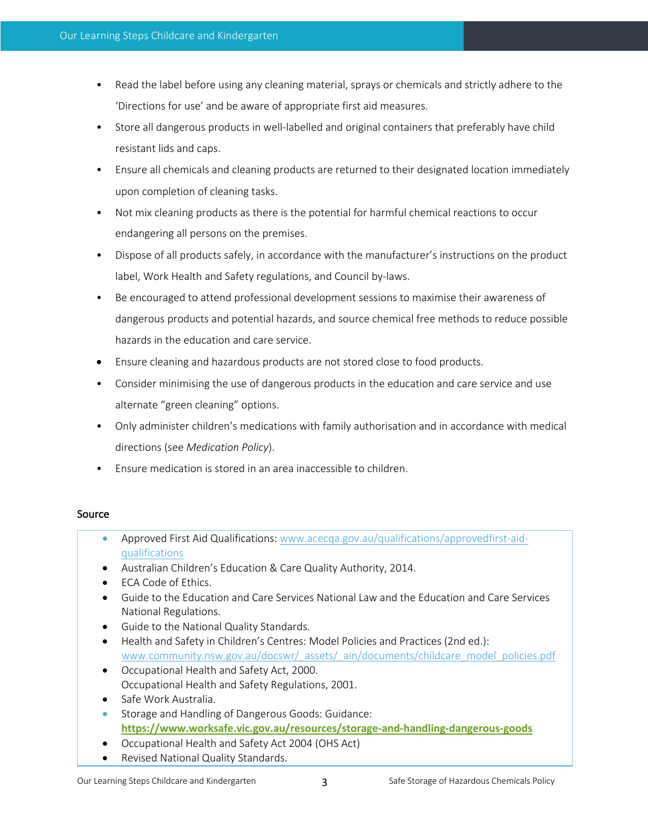- Read the label before using any cleaning material, sprays or chemicals and strictly adhere to the 'Directions for use' and be aware of appropriate first aid measures.
- Store all dangerous products in well-labelled and original containers that preferably have child resistant lids and caps.
- Ensure all chemicals and cleaning products are returned to their designated location immediately upon completion of cleaning tasks.
- Not mix cleaning products as there is the potential for harmful chemical reactions to occur endangering all persons on the premises.
- Dispose of all products safely, in accordance with the manufacturer's instructions on the product label, Work Health and Safety regulations, and Council by-laws.
- Be encouraged to attend professional development sessions to maximise their awareness of dangerous products and potential hazards, and source chemical free methods to reduce possible hazards in the education and care service.
- Ensure cleaning and hazardous products are not stored close to food products.
- Consider minimising the use of dangerous products in the education and care service and use alternate "green cleaning" options.
- Only administer children's medications with family authorisation and in accordance with medical directions (see *Medication Policy*).
- Ensure medication is stored in an area inaccessible to children.

# Source

- Approved First Aid Qualifications: www.acecqa.gov.au/qualifications/approvedfirst-aidqualifications
- Australian Children's Education & Care Quality Authority, 2014.
- ECA Code of Ethics.
- Guide to the Education and Care Services National Law and the Education and Care Services National Regulations.
- Guide to the National Quality Standards.
- Health and Safety in Children's Centres: Model Policies and Practices (2nd ed.): www.community.nsw.gov.au/docswr/\_assets/\_ain/documents/childcare\_model\_policies.pdf
- Occupational Health and Safety Act, 2000. Occupational Health and Safety Regulations, 2001.
- Safe Work Australia.
- Storage and Handling of Dangerous Goods: Guidance: **https://www.worksafe.vic.gov.au/resources/storage-and-handling-dangerous-goods**
- Occupational Health and Safety Act 2004 (OHS Act)
- Revised National Quality Standards.